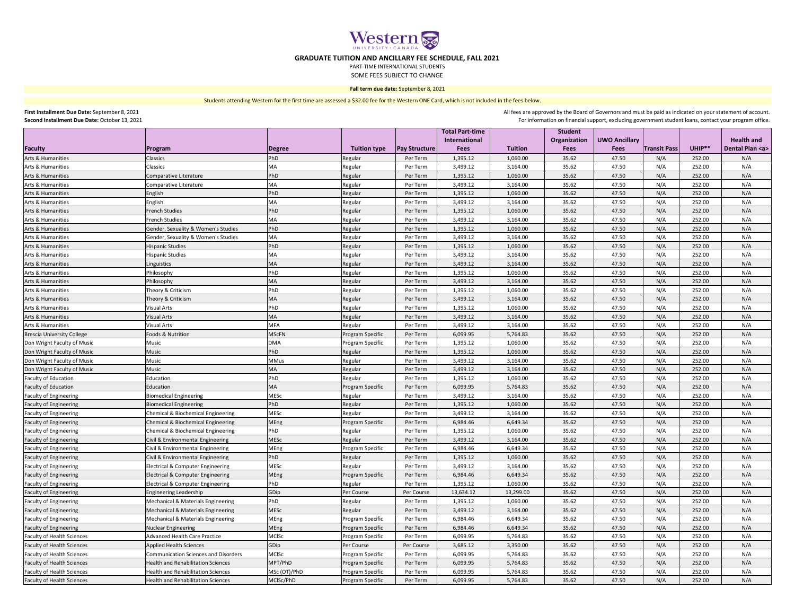| <b>Student</b><br><b>UWO Ancillary</b><br><b>Health and</b><br>International<br>Organization<br>Faculty<br>UHIP**<br>Dental Plan <a><br/><b>Tuition type</b><br/><b>Fees</b><br/><b>Tuition</b><br/><b>Fees</b><br/><b>Transit Pass</b><br/><b>Pay Structure</b><br/><b>Fees</b><br/>Program<br/><b>Degree</b><br/>N/A<br/>Arts &amp; Humanities<br/>PhD<br/>Per Term<br/>1,060.00<br/>47.50<br/>N/A<br/>Classics<br/>1,395.12<br/>35.62<br/>252.00<br/>Regular<br/>N/A<br/>N/A<br/>252.00<br/>Arts &amp; Humanities<br/><b>MA</b><br/>3,499.12<br/>3,164.00<br/>35.62<br/>47.50<br/><b>Classics</b><br/>Regular<br/>Per Term<br/>N/A<br/>PhD<br/>N/A<br/>Arts &amp; Humanities<br/>Comparative Literature<br/>1,060.00<br/>35.62<br/>47.50<br/>252.00<br/>Regular<br/>Per Term<br/>1,395.12<br/>252.00<br/>N/A<br/>3,499.12<br/>3,164.00<br/>35.62<br/>47.50<br/>N/A<br/>Arts &amp; Humanities<br/>Comparative Literature<br/><b>MA</b><br/>Regular<br/>Per Term<br/>PhD<br/>35.62<br/>252.00<br/>N/A<br/>Arts &amp; Humanities<br/>1,060.00<br/>47.50<br/>N/A<br/>English<br/>1,395.12<br/>Regular<br/>Per Term<br/>3,164.00<br/>35.62<br/>47.50<br/>N/A<br/>252.00<br/>N/A<br/>Arts &amp; Humanities<br/>English<br/><b>MA</b><br/>Per Term<br/>3,499.12<br/>Regular<br/><b>French Studies</b><br/>PhD<br/>N/A<br/>252.00<br/>N/A<br/>1,060.00<br/>35.62<br/>47.50<br/>Arts &amp; Humanities<br/>1,395.12<br/>Regular<br/>Per Term<br/>Arts &amp; Humanities<br/><b>French Studies</b><br/>3,499.12<br/>3,164.00<br/>35.62<br/>47.50<br/>N/A<br/>252.00<br/>N/A<br/><b>MA</b><br/>Regular<br/>Per Term<br/>PhD<br/>1,060.00<br/>35.62<br/>47.50<br/>N/A<br/>252.00<br/>N/A<br/>Gender, Sexuality &amp; Women's Studies<br/>Arts &amp; Humanities<br/>Regular<br/>Per Term<br/>1,395.12<br/>35.62<br/>N/A<br/>252.00<br/>N/A<br/>Arts &amp; Humanities<br/>Gender, Sexuality &amp; Women's Studies<br/><b>MA</b><br/>3,164.00<br/>47.50<br/>3,499.12<br/>Regular<br/>Per Term<br/>PhD<br/>N/A<br/>Arts &amp; Humanities<br/><b>Hispanic Studies</b><br/>Regular<br/>1,060.00<br/>35.62<br/>47.50<br/>252.00<br/>N/A<br/>Per Term<br/>1,395.12<br/>N/A<br/>N/A<br/>35.62<br/>47.50<br/>252.00<br/>Arts &amp; Humanities<br/>Regular<br/>3,499.12<br/>3,164.00<br/><b>Hispanic Studies</b><br/>MA<br/>Per Term<br/>N/A<br/>N/A<br/>Arts &amp; Humanities<br/><b>MA</b><br/>47.50<br/>252.00<br/>Regular<br/>Per Term<br/>3,499.12<br/>3,164.00<br/>35.62<br/>Linguistics<br/>PhD<br/>47.50<br/>N/A<br/>252.00<br/>N/A<br/>Arts &amp; Humanities<br/>Philosophy<br/>1,395.12<br/>1,060.00<br/>35.62<br/>Regular<br/>Per Term<br/>N/A<br/>N/A<br/>Arts &amp; Humanities<br/>35.62<br/>47.50<br/>252.00<br/>Philosophy<br/><b>MA</b><br/>Regular<br/>3,499.12<br/>3,164.00<br/>Per Term<br/>PhD<br/>N/A<br/>N/A<br/>Arts &amp; Humanities<br/>Theory &amp; Criticism<br/>1,395.12<br/>1,060.00<br/>35.62<br/>47.50<br/>252.00<br/>Regular<br/>Per Term<br/>N/A<br/>35.62<br/>47.50<br/>N/A<br/>252.00<br/>Arts &amp; Humanities<br/>Theory &amp; Criticism<br/>3,499.12<br/>3,164.00<br/><b>MA</b><br/>Regular<br/>Per Term<br/>PhD<br/>Arts &amp; Humanities<br/>1,060.00<br/>35.62<br/>47.50<br/>N/A<br/>252.00<br/>N/A<br/><b>Visual Arts</b><br/>Per Term<br/>1,395.12<br/>Regular<br/>N/A<br/>Arts &amp; Humanities<br/><b>Visual Arts</b><br/>Regular<br/>3,499.12<br/>3,164.00<br/>35.62<br/>47.50<br/>N/A<br/>252.00<br/>MA<br/>Per Term<br/><b>MFA</b><br/>252.00<br/>N/A<br/>35.62<br/>47.50<br/>N/A<br/>3,499.12<br/>3,164.00<br/><b>Visual Arts</b><br/>Regular<br/>Per Term<br/><b>MSCFN</b><br/>35.62<br/>47.50<br/>N/A<br/>252.00<br/>Foods &amp; Nutrition<br/><b>Program Specific</b><br/>5,764.83<br/>N/A<br/>Per Term<br/>6,099.95<br/>1,060.00<br/>35.62<br/>47.50<br/>N/A<br/>252.00<br/>N/A<br/>1,395.12<br/><b>Music</b><br/><b>DMA</b><br/>Per Term<br/>Program Specific<br/>PhD<br/>N/A<br/>N/A<br/>Music<br/>Per Term<br/>1,060.00<br/>35.62<br/>47.50<br/>252.00<br/>Regular<br/>1,395.12<br/>N/A<br/>N/A<br/>Music<br/><b>MMus</b><br/>3,164.00<br/>35.62<br/>47.50<br/>252.00<br/>Per Term<br/>3,499.12<br/>Regular<br/>N/A<br/>35.62<br/>47.50<br/>252.00<br/>N/A<br/>Music<br/>3,499.12<br/>3,164.00<br/>MA<br/>Regular<br/>Per Term<br/>PhD<br/>N/A<br/>N/A<br/>Regular<br/>Per Term<br/>1,395.12<br/>1,060.00<br/>35.62<br/>47.50<br/>252.00<br/>Education<br/>N/A<br/>N/A<br/><b>MA</b><br/><b>Program Specific</b><br/>35.62<br/>47.50<br/>252.00<br/>Per Term<br/>6,099.95<br/>5,764.83<br/>Education<br/>MESc<br/>N/A<br/>N/A<br/><b>Biomedical Engineering</b><br/>3,164.00<br/>35.62<br/>47.50<br/>252.00<br/>Per Term<br/>3,499.12<br/>Regular<br/>PhD<br/>47.50<br/>252.00<br/>N/A<br/>Per Term<br/>1,395.12<br/>1,060.00<br/>35.62<br/>N/A<br/><b>Biomedical Engineering</b><br/>Regular<br/>MESc<br/>N/A<br/>N/A<br/>35.62<br/>47.50<br/>252.00<br/>3,499.12<br/>3,164.00<br/><b>Chemical &amp; Biochemical Engineering</b><br/>Per Term<br/>Regular<br/>N/A<br/>N/A<br/>MEng<br/>35.62<br/>47.50<br/>252.00<br/><b>Chemical &amp; Biochemical Engineering</b><br/><b>Program Specific</b><br/>Per Term<br/>6,984.46<br/>6,649.34<br/>PhD<br/>35.62<br/>47.50<br/>N/A<br/>252.00<br/>N/A<br/>1,395.12<br/>1,060.00<br/><b>Chemical &amp; Biochemical Engineering</b><br/>Per Term<br/>Regular<br/>MESC<br/>N/A<br/>N/A<br/>35.62<br/>47.50<br/>252.00<br/>Civil &amp; Environmental Engineering<br/>3,499.12<br/>3,164.00<br/>Regular<br/>Per Term<br/>MEng<br/>N/A<br/>N/A<br/>35.62<br/>47.50<br/>252.00<br/>Civil &amp; Environmental Engineering<br/>Program Specific<br/>Per Term<br/>6,984.46<br/>6,649.34<br/>N/A<br/>PhD<br/>35.62<br/>47.50<br/>252.00<br/>N/A<br/><b>Civil &amp; Environmental Engineering</b><br/>Per Term<br/>1,395.12<br/>1,060.00<br/>Regular<br/>MESC<br/>N/A<br/>N/A<br/><b>Electrical &amp; Computer Engineering</b><br/>Regular<br/>3,499.12<br/>3,164.00<br/>35.62<br/>47.50<br/>252.00<br/>Per Term<br/>N/A<br/>N/A<br/>MEng<br/>35.62<br/>47.50<br/>252.00<br/><b>Program Specific</b><br/>Per Term<br/>6,984.46<br/>6,649.34<br/><b>Electrical &amp; Computer Engineering</b><br/>N/A<br/>N/A<br/>PhD<br/>47.50<br/>1,395.12<br/>1,060.00<br/>35.62<br/>252.00<br/><b>Electrical &amp; Computer Engineering</b><br/>Per Term<br/>Regular<br/>GDip<br/>13,299.00<br/>35.62<br/>47.50<br/>N/A<br/>252.00<br/>N/A<br/><b>Per Course</b><br/>Per Course<br/>13,634.12<br/>Engineering Leadership<br/>N/A<br/>PhD<br/>35.62<br/>47.50<br/>N/A<br/>252.00<br/>1,395.12<br/>1,060.00<br/>Mechanical &amp; Materials Engineering<br/>Per Term<br/>Regular<br/>MESc<br/>3,164.00<br/>N/A<br/>N/A<br/><b>Faculty of Engineering</b><br/>Per Term<br/>3,499.12<br/>35.62<br/>47.50<br/>252.00<br/><b>Mechanical &amp; Materials Engineering</b><br/>Regular<br/>MEng<br/>35.62<br/>N/A<br/>252.00<br/>N/A<br/><b>Faculty of Engineering</b><br/>Mechanical &amp; Materials Engineering<br/><b>Program Specific</b><br/>6,984.46<br/>6,649.34<br/>47.50<br/>Per Term<br/>35.62<br/>47.50<br/>N/A<br/>252.00<br/><b>Faculty of Engineering</b><br/>MEng<br/>N/A<br/><b>Nuclear Engineering</b><br/><b>Program Specific</b><br/>Per Term<br/>6,984.46<br/>6,649.34<br/><b>MCISc</b><br/>35.62<br/><b>Faculty of Health Sciences</b><br/><b>Advanced Health Care Practice</b><br/><b>Program Specific</b><br/>6,099.95<br/>5,764.83<br/>47.50<br/>N/A<br/>252.00<br/>N/A<br/>Per Term<br/>35.62<br/>N/A<br/>47.50<br/>N/A<br/>252.00<br/>GDip<br/>3,685.12<br/>3,350.00<br/><b>Faculty of Health Sciences</b><br/><b>Applied Health Sciences</b><br/>Per Course<br/>Per Course<br/><b>MCISC</b><br/><b>Faculty of Health Sciences</b><br/><b>Communication Sciences and Disorders</b><br/><b>Program Specific</b><br/>N/A<br/>N/A<br/>Per Term<br/>6,099.95<br/>5,764.83<br/>35.62<br/>47.50<br/>252.00<br/>MPT/PhD<br/>N/A<br/>N/A<br/><b>Faculty of Health Sciences</b><br/><b>Health and Rehabilitation Sciences</b><br/>Per Term<br/>6,099.95<br/>5,764.83<br/>35.62<br/>47.50<br/>252.00<br/>Program Specific<br/>MSc (OT)/PhD<br/>N/A<br/><b>Faculty of Health Sciences</b><br/><b>Health and Rehabilitation Sciences</b><br/>35.62<br/>N/A<br/><b>Program Specific</b><br/>Per Term<br/>6,099.95<br/>5,764.83<br/>47.50<br/>252.00<br/><b>Faculty of Health Sciences</b><br/>Health and Rehabilitation Sciences<br/>N/A<br/>MCISc/PhD<br/>Per Term<br/>6,099.95<br/>5,764.83<br/>35.62<br/>47.50<br/>252.00<br/>N/A<br/><b>Program Specific</b></a> |                               |  |  | <b>Total Part-time</b> |  |  |  |
|---------------------------------------------------------------------------------------------------------------------------------------------------------------------------------------------------------------------------------------------------------------------------------------------------------------------------------------------------------------------------------------------------------------------------------------------------------------------------------------------------------------------------------------------------------------------------------------------------------------------------------------------------------------------------------------------------------------------------------------------------------------------------------------------------------------------------------------------------------------------------------------------------------------------------------------------------------------------------------------------------------------------------------------------------------------------------------------------------------------------------------------------------------------------------------------------------------------------------------------------------------------------------------------------------------------------------------------------------------------------------------------------------------------------------------------------------------------------------------------------------------------------------------------------------------------------------------------------------------------------------------------------------------------------------------------------------------------------------------------------------------------------------------------------------------------------------------------------------------------------------------------------------------------------------------------------------------------------------------------------------------------------------------------------------------------------------------------------------------------------------------------------------------------------------------------------------------------------------------------------------------------------------------------------------------------------------------------------------------------------------------------------------------------------------------------------------------------------------------------------------------------------------------------------------------------------------------------------------------------------------------------------------------------------------------------------------------------------------------------------------------------------------------------------------------------------------------------------------------------------------------------------------------------------------------------------------------------------------------------------------------------------------------------------------------------------------------------------------------------------------------------------------------------------------------------------------------------------------------------------------------------------------------------------------------------------------------------------------------------------------------------------------------------------------------------------------------------------------------------------------------------------------------------------------------------------------------------------------------------------------------------------------------------------------------------------------------------------------------------------------------------------------------------------------------------------------------------------------------------------------------------------------------------------------------------------------------------------------------------------------------------------------------------------------------------------------------------------------------------------------------------------------------------------------------------------------------------------------------------------------------------------------------------------------------------------------------------------------------------------------------------------------------------------------------------------------------------------------------------------------------------------------------------------------------------------------------------------------------------------------------------------------------------------------------------------------------------------------------------------------------------------------------------------------------------------------------------------------------------------------------------------------------------------------------------------------------------------------------------------------------------------------------------------------------------------------------------------------------------------------------------------------------------------------------------------------------------------------------------------------------------------------------------------------------------------------------------------------------------------------------------------------------------------------------------------------------------------------------------------------------------------------------------------------------------------------------------------------------------------------------------------------------------------------------------------------------------------------------------------------------------------------------------------------------------------------------------------------------------------------------------------------------------------------------------------------------------------------------------------------------------------------------------------------------------------------------------------------------------------------------------------------------------------------------------------------------------------------------------------------------------------------------------------------------------------------------------------------------------------------------------------------------------------------------------------------------------------------------------------------------------------------------------------------------------------------------------------------------------------------------------------------------------------------------------------------------------------------------------------------------------------------------------------------------------------------------------------------------------------------------------------------------------------------------------------------------------------------------------------------------------------------------------------------------------------------------------------------------------------------------------------------------------------------------------------------------------------------------------------------------------------------------------------------------------------------------------------------------------------------------------------------------------------------------------------------------------------------------------------------------------------------------------------------------------------------------------------------------------------------------------------------------------------------------------------------------------------------------------------------------------------------------------------------------------------------------------------------------------------------------------------------------------------------------------------------------------------------------------------------------------------------------------------------------------------------------------------------------------------------------------------------------------------------------------------------------------------------------------------------------------------------------------------------------------------------------------------------------------------------------------------------------------------------------------------------------------------------------------------------------------------------|-------------------------------|--|--|------------------------|--|--|--|
|                                                                                                                                                                                                                                                                                                                                                                                                                                                                                                                                                                                                                                                                                                                                                                                                                                                                                                                                                                                                                                                                                                                                                                                                                                                                                                                                                                                                                                                                                                                                                                                                                                                                                                                                                                                                                                                                                                                                                                                                                                                                                                                                                                                                                                                                                                                                                                                                                                                                                                                                                                                                                                                                                                                                                                                                                                                                                                                                                                                                                                                                                                                                                                                                                                                                                                                                                                                                                                                                                                                                                                                                                                                                                                                                                                                                                                                                                                                                                                                                                                                                                                                                                                                                                                                                                                                                                                                                                                                                                                                                                                                                                                                                                                                                                                                                                                                                                                                                                                                                                                                                                                                                                                                                                                                                                                                                                                                                                                                                                                                                                                                                                                                                                                                                                                                                                                                                                                                                                                                                                                                                                                                                                                                                                                                                                                                                                                                                                                                                                                                                                                                                                                                                                                                                                                                                                                                                                                                                                                                                                                                                                                                                                                                                                                                                                                                                                                                                                                                                                                                                                                                                                                                                                                                                                                                                                                                                                                                                                                                                                                                                                                                                                                                                                                                                                                                                                                                                                                                                                                                           |                               |  |  |                        |  |  |  |
|                                                                                                                                                                                                                                                                                                                                                                                                                                                                                                                                                                                                                                                                                                                                                                                                                                                                                                                                                                                                                                                                                                                                                                                                                                                                                                                                                                                                                                                                                                                                                                                                                                                                                                                                                                                                                                                                                                                                                                                                                                                                                                                                                                                                                                                                                                                                                                                                                                                                                                                                                                                                                                                                                                                                                                                                                                                                                                                                                                                                                                                                                                                                                                                                                                                                                                                                                                                                                                                                                                                                                                                                                                                                                                                                                                                                                                                                                                                                                                                                                                                                                                                                                                                                                                                                                                                                                                                                                                                                                                                                                                                                                                                                                                                                                                                                                                                                                                                                                                                                                                                                                                                                                                                                                                                                                                                                                                                                                                                                                                                                                                                                                                                                                                                                                                                                                                                                                                                                                                                                                                                                                                                                                                                                                                                                                                                                                                                                                                                                                                                                                                                                                                                                                                                                                                                                                                                                                                                                                                                                                                                                                                                                                                                                                                                                                                                                                                                                                                                                                                                                                                                                                                                                                                                                                                                                                                                                                                                                                                                                                                                                                                                                                                                                                                                                                                                                                                                                                                                                                                                           |                               |  |  |                        |  |  |  |
|                                                                                                                                                                                                                                                                                                                                                                                                                                                                                                                                                                                                                                                                                                                                                                                                                                                                                                                                                                                                                                                                                                                                                                                                                                                                                                                                                                                                                                                                                                                                                                                                                                                                                                                                                                                                                                                                                                                                                                                                                                                                                                                                                                                                                                                                                                                                                                                                                                                                                                                                                                                                                                                                                                                                                                                                                                                                                                                                                                                                                                                                                                                                                                                                                                                                                                                                                                                                                                                                                                                                                                                                                                                                                                                                                                                                                                                                                                                                                                                                                                                                                                                                                                                                                                                                                                                                                                                                                                                                                                                                                                                                                                                                                                                                                                                                                                                                                                                                                                                                                                                                                                                                                                                                                                                                                                                                                                                                                                                                                                                                                                                                                                                                                                                                                                                                                                                                                                                                                                                                                                                                                                                                                                                                                                                                                                                                                                                                                                                                                                                                                                                                                                                                                                                                                                                                                                                                                                                                                                                                                                                                                                                                                                                                                                                                                                                                                                                                                                                                                                                                                                                                                                                                                                                                                                                                                                                                                                                                                                                                                                                                                                                                                                                                                                                                                                                                                                                                                                                                                                                           |                               |  |  |                        |  |  |  |
|                                                                                                                                                                                                                                                                                                                                                                                                                                                                                                                                                                                                                                                                                                                                                                                                                                                                                                                                                                                                                                                                                                                                                                                                                                                                                                                                                                                                                                                                                                                                                                                                                                                                                                                                                                                                                                                                                                                                                                                                                                                                                                                                                                                                                                                                                                                                                                                                                                                                                                                                                                                                                                                                                                                                                                                                                                                                                                                                                                                                                                                                                                                                                                                                                                                                                                                                                                                                                                                                                                                                                                                                                                                                                                                                                                                                                                                                                                                                                                                                                                                                                                                                                                                                                                                                                                                                                                                                                                                                                                                                                                                                                                                                                                                                                                                                                                                                                                                                                                                                                                                                                                                                                                                                                                                                                                                                                                                                                                                                                                                                                                                                                                                                                                                                                                                                                                                                                                                                                                                                                                                                                                                                                                                                                                                                                                                                                                                                                                                                                                                                                                                                                                                                                                                                                                                                                                                                                                                                                                                                                                                                                                                                                                                                                                                                                                                                                                                                                                                                                                                                                                                                                                                                                                                                                                                                                                                                                                                                                                                                                                                                                                                                                                                                                                                                                                                                                                                                                                                                                                                           |                               |  |  |                        |  |  |  |
|                                                                                                                                                                                                                                                                                                                                                                                                                                                                                                                                                                                                                                                                                                                                                                                                                                                                                                                                                                                                                                                                                                                                                                                                                                                                                                                                                                                                                                                                                                                                                                                                                                                                                                                                                                                                                                                                                                                                                                                                                                                                                                                                                                                                                                                                                                                                                                                                                                                                                                                                                                                                                                                                                                                                                                                                                                                                                                                                                                                                                                                                                                                                                                                                                                                                                                                                                                                                                                                                                                                                                                                                                                                                                                                                                                                                                                                                                                                                                                                                                                                                                                                                                                                                                                                                                                                                                                                                                                                                                                                                                                                                                                                                                                                                                                                                                                                                                                                                                                                                                                                                                                                                                                                                                                                                                                                                                                                                                                                                                                                                                                                                                                                                                                                                                                                                                                                                                                                                                                                                                                                                                                                                                                                                                                                                                                                                                                                                                                                                                                                                                                                                                                                                                                                                                                                                                                                                                                                                                                                                                                                                                                                                                                                                                                                                                                                                                                                                                                                                                                                                                                                                                                                                                                                                                                                                                                                                                                                                                                                                                                                                                                                                                                                                                                                                                                                                                                                                                                                                                                                           |                               |  |  |                        |  |  |  |
|                                                                                                                                                                                                                                                                                                                                                                                                                                                                                                                                                                                                                                                                                                                                                                                                                                                                                                                                                                                                                                                                                                                                                                                                                                                                                                                                                                                                                                                                                                                                                                                                                                                                                                                                                                                                                                                                                                                                                                                                                                                                                                                                                                                                                                                                                                                                                                                                                                                                                                                                                                                                                                                                                                                                                                                                                                                                                                                                                                                                                                                                                                                                                                                                                                                                                                                                                                                                                                                                                                                                                                                                                                                                                                                                                                                                                                                                                                                                                                                                                                                                                                                                                                                                                                                                                                                                                                                                                                                                                                                                                                                                                                                                                                                                                                                                                                                                                                                                                                                                                                                                                                                                                                                                                                                                                                                                                                                                                                                                                                                                                                                                                                                                                                                                                                                                                                                                                                                                                                                                                                                                                                                                                                                                                                                                                                                                                                                                                                                                                                                                                                                                                                                                                                                                                                                                                                                                                                                                                                                                                                                                                                                                                                                                                                                                                                                                                                                                                                                                                                                                                                                                                                                                                                                                                                                                                                                                                                                                                                                                                                                                                                                                                                                                                                                                                                                                                                                                                                                                                                                           |                               |  |  |                        |  |  |  |
|                                                                                                                                                                                                                                                                                                                                                                                                                                                                                                                                                                                                                                                                                                                                                                                                                                                                                                                                                                                                                                                                                                                                                                                                                                                                                                                                                                                                                                                                                                                                                                                                                                                                                                                                                                                                                                                                                                                                                                                                                                                                                                                                                                                                                                                                                                                                                                                                                                                                                                                                                                                                                                                                                                                                                                                                                                                                                                                                                                                                                                                                                                                                                                                                                                                                                                                                                                                                                                                                                                                                                                                                                                                                                                                                                                                                                                                                                                                                                                                                                                                                                                                                                                                                                                                                                                                                                                                                                                                                                                                                                                                                                                                                                                                                                                                                                                                                                                                                                                                                                                                                                                                                                                                                                                                                                                                                                                                                                                                                                                                                                                                                                                                                                                                                                                                                                                                                                                                                                                                                                                                                                                                                                                                                                                                                                                                                                                                                                                                                                                                                                                                                                                                                                                                                                                                                                                                                                                                                                                                                                                                                                                                                                                                                                                                                                                                                                                                                                                                                                                                                                                                                                                                                                                                                                                                                                                                                                                                                                                                                                                                                                                                                                                                                                                                                                                                                                                                                                                                                                                                           |                               |  |  |                        |  |  |  |
|                                                                                                                                                                                                                                                                                                                                                                                                                                                                                                                                                                                                                                                                                                                                                                                                                                                                                                                                                                                                                                                                                                                                                                                                                                                                                                                                                                                                                                                                                                                                                                                                                                                                                                                                                                                                                                                                                                                                                                                                                                                                                                                                                                                                                                                                                                                                                                                                                                                                                                                                                                                                                                                                                                                                                                                                                                                                                                                                                                                                                                                                                                                                                                                                                                                                                                                                                                                                                                                                                                                                                                                                                                                                                                                                                                                                                                                                                                                                                                                                                                                                                                                                                                                                                                                                                                                                                                                                                                                                                                                                                                                                                                                                                                                                                                                                                                                                                                                                                                                                                                                                                                                                                                                                                                                                                                                                                                                                                                                                                                                                                                                                                                                                                                                                                                                                                                                                                                                                                                                                                                                                                                                                                                                                                                                                                                                                                                                                                                                                                                                                                                                                                                                                                                                                                                                                                                                                                                                                                                                                                                                                                                                                                                                                                                                                                                                                                                                                                                                                                                                                                                                                                                                                                                                                                                                                                                                                                                                                                                                                                                                                                                                                                                                                                                                                                                                                                                                                                                                                                                                           |                               |  |  |                        |  |  |  |
|                                                                                                                                                                                                                                                                                                                                                                                                                                                                                                                                                                                                                                                                                                                                                                                                                                                                                                                                                                                                                                                                                                                                                                                                                                                                                                                                                                                                                                                                                                                                                                                                                                                                                                                                                                                                                                                                                                                                                                                                                                                                                                                                                                                                                                                                                                                                                                                                                                                                                                                                                                                                                                                                                                                                                                                                                                                                                                                                                                                                                                                                                                                                                                                                                                                                                                                                                                                                                                                                                                                                                                                                                                                                                                                                                                                                                                                                                                                                                                                                                                                                                                                                                                                                                                                                                                                                                                                                                                                                                                                                                                                                                                                                                                                                                                                                                                                                                                                                                                                                                                                                                                                                                                                                                                                                                                                                                                                                                                                                                                                                                                                                                                                                                                                                                                                                                                                                                                                                                                                                                                                                                                                                                                                                                                                                                                                                                                                                                                                                                                                                                                                                                                                                                                                                                                                                                                                                                                                                                                                                                                                                                                                                                                                                                                                                                                                                                                                                                                                                                                                                                                                                                                                                                                                                                                                                                                                                                                                                                                                                                                                                                                                                                                                                                                                                                                                                                                                                                                                                                                                           |                               |  |  |                        |  |  |  |
|                                                                                                                                                                                                                                                                                                                                                                                                                                                                                                                                                                                                                                                                                                                                                                                                                                                                                                                                                                                                                                                                                                                                                                                                                                                                                                                                                                                                                                                                                                                                                                                                                                                                                                                                                                                                                                                                                                                                                                                                                                                                                                                                                                                                                                                                                                                                                                                                                                                                                                                                                                                                                                                                                                                                                                                                                                                                                                                                                                                                                                                                                                                                                                                                                                                                                                                                                                                                                                                                                                                                                                                                                                                                                                                                                                                                                                                                                                                                                                                                                                                                                                                                                                                                                                                                                                                                                                                                                                                                                                                                                                                                                                                                                                                                                                                                                                                                                                                                                                                                                                                                                                                                                                                                                                                                                                                                                                                                                                                                                                                                                                                                                                                                                                                                                                                                                                                                                                                                                                                                                                                                                                                                                                                                                                                                                                                                                                                                                                                                                                                                                                                                                                                                                                                                                                                                                                                                                                                                                                                                                                                                                                                                                                                                                                                                                                                                                                                                                                                                                                                                                                                                                                                                                                                                                                                                                                                                                                                                                                                                                                                                                                                                                                                                                                                                                                                                                                                                                                                                                                                           |                               |  |  |                        |  |  |  |
|                                                                                                                                                                                                                                                                                                                                                                                                                                                                                                                                                                                                                                                                                                                                                                                                                                                                                                                                                                                                                                                                                                                                                                                                                                                                                                                                                                                                                                                                                                                                                                                                                                                                                                                                                                                                                                                                                                                                                                                                                                                                                                                                                                                                                                                                                                                                                                                                                                                                                                                                                                                                                                                                                                                                                                                                                                                                                                                                                                                                                                                                                                                                                                                                                                                                                                                                                                                                                                                                                                                                                                                                                                                                                                                                                                                                                                                                                                                                                                                                                                                                                                                                                                                                                                                                                                                                                                                                                                                                                                                                                                                                                                                                                                                                                                                                                                                                                                                                                                                                                                                                                                                                                                                                                                                                                                                                                                                                                                                                                                                                                                                                                                                                                                                                                                                                                                                                                                                                                                                                                                                                                                                                                                                                                                                                                                                                                                                                                                                                                                                                                                                                                                                                                                                                                                                                                                                                                                                                                                                                                                                                                                                                                                                                                                                                                                                                                                                                                                                                                                                                                                                                                                                                                                                                                                                                                                                                                                                                                                                                                                                                                                                                                                                                                                                                                                                                                                                                                                                                                                                           |                               |  |  |                        |  |  |  |
|                                                                                                                                                                                                                                                                                                                                                                                                                                                                                                                                                                                                                                                                                                                                                                                                                                                                                                                                                                                                                                                                                                                                                                                                                                                                                                                                                                                                                                                                                                                                                                                                                                                                                                                                                                                                                                                                                                                                                                                                                                                                                                                                                                                                                                                                                                                                                                                                                                                                                                                                                                                                                                                                                                                                                                                                                                                                                                                                                                                                                                                                                                                                                                                                                                                                                                                                                                                                                                                                                                                                                                                                                                                                                                                                                                                                                                                                                                                                                                                                                                                                                                                                                                                                                                                                                                                                                                                                                                                                                                                                                                                                                                                                                                                                                                                                                                                                                                                                                                                                                                                                                                                                                                                                                                                                                                                                                                                                                                                                                                                                                                                                                                                                                                                                                                                                                                                                                                                                                                                                                                                                                                                                                                                                                                                                                                                                                                                                                                                                                                                                                                                                                                                                                                                                                                                                                                                                                                                                                                                                                                                                                                                                                                                                                                                                                                                                                                                                                                                                                                                                                                                                                                                                                                                                                                                                                                                                                                                                                                                                                                                                                                                                                                                                                                                                                                                                                                                                                                                                                                                           |                               |  |  |                        |  |  |  |
|                                                                                                                                                                                                                                                                                                                                                                                                                                                                                                                                                                                                                                                                                                                                                                                                                                                                                                                                                                                                                                                                                                                                                                                                                                                                                                                                                                                                                                                                                                                                                                                                                                                                                                                                                                                                                                                                                                                                                                                                                                                                                                                                                                                                                                                                                                                                                                                                                                                                                                                                                                                                                                                                                                                                                                                                                                                                                                                                                                                                                                                                                                                                                                                                                                                                                                                                                                                                                                                                                                                                                                                                                                                                                                                                                                                                                                                                                                                                                                                                                                                                                                                                                                                                                                                                                                                                                                                                                                                                                                                                                                                                                                                                                                                                                                                                                                                                                                                                                                                                                                                                                                                                                                                                                                                                                                                                                                                                                                                                                                                                                                                                                                                                                                                                                                                                                                                                                                                                                                                                                                                                                                                                                                                                                                                                                                                                                                                                                                                                                                                                                                                                                                                                                                                                                                                                                                                                                                                                                                                                                                                                                                                                                                                                                                                                                                                                                                                                                                                                                                                                                                                                                                                                                                                                                                                                                                                                                                                                                                                                                                                                                                                                                                                                                                                                                                                                                                                                                                                                                                                           |                               |  |  |                        |  |  |  |
|                                                                                                                                                                                                                                                                                                                                                                                                                                                                                                                                                                                                                                                                                                                                                                                                                                                                                                                                                                                                                                                                                                                                                                                                                                                                                                                                                                                                                                                                                                                                                                                                                                                                                                                                                                                                                                                                                                                                                                                                                                                                                                                                                                                                                                                                                                                                                                                                                                                                                                                                                                                                                                                                                                                                                                                                                                                                                                                                                                                                                                                                                                                                                                                                                                                                                                                                                                                                                                                                                                                                                                                                                                                                                                                                                                                                                                                                                                                                                                                                                                                                                                                                                                                                                                                                                                                                                                                                                                                                                                                                                                                                                                                                                                                                                                                                                                                                                                                                                                                                                                                                                                                                                                                                                                                                                                                                                                                                                                                                                                                                                                                                                                                                                                                                                                                                                                                                                                                                                                                                                                                                                                                                                                                                                                                                                                                                                                                                                                                                                                                                                                                                                                                                                                                                                                                                                                                                                                                                                                                                                                                                                                                                                                                                                                                                                                                                                                                                                                                                                                                                                                                                                                                                                                                                                                                                                                                                                                                                                                                                                                                                                                                                                                                                                                                                                                                                                                                                                                                                                                                           |                               |  |  |                        |  |  |  |
|                                                                                                                                                                                                                                                                                                                                                                                                                                                                                                                                                                                                                                                                                                                                                                                                                                                                                                                                                                                                                                                                                                                                                                                                                                                                                                                                                                                                                                                                                                                                                                                                                                                                                                                                                                                                                                                                                                                                                                                                                                                                                                                                                                                                                                                                                                                                                                                                                                                                                                                                                                                                                                                                                                                                                                                                                                                                                                                                                                                                                                                                                                                                                                                                                                                                                                                                                                                                                                                                                                                                                                                                                                                                                                                                                                                                                                                                                                                                                                                                                                                                                                                                                                                                                                                                                                                                                                                                                                                                                                                                                                                                                                                                                                                                                                                                                                                                                                                                                                                                                                                                                                                                                                                                                                                                                                                                                                                                                                                                                                                                                                                                                                                                                                                                                                                                                                                                                                                                                                                                                                                                                                                                                                                                                                                                                                                                                                                                                                                                                                                                                                                                                                                                                                                                                                                                                                                                                                                                                                                                                                                                                                                                                                                                                                                                                                                                                                                                                                                                                                                                                                                                                                                                                                                                                                                                                                                                                                                                                                                                                                                                                                                                                                                                                                                                                                                                                                                                                                                                                                                           |                               |  |  |                        |  |  |  |
|                                                                                                                                                                                                                                                                                                                                                                                                                                                                                                                                                                                                                                                                                                                                                                                                                                                                                                                                                                                                                                                                                                                                                                                                                                                                                                                                                                                                                                                                                                                                                                                                                                                                                                                                                                                                                                                                                                                                                                                                                                                                                                                                                                                                                                                                                                                                                                                                                                                                                                                                                                                                                                                                                                                                                                                                                                                                                                                                                                                                                                                                                                                                                                                                                                                                                                                                                                                                                                                                                                                                                                                                                                                                                                                                                                                                                                                                                                                                                                                                                                                                                                                                                                                                                                                                                                                                                                                                                                                                                                                                                                                                                                                                                                                                                                                                                                                                                                                                                                                                                                                                                                                                                                                                                                                                                                                                                                                                                                                                                                                                                                                                                                                                                                                                                                                                                                                                                                                                                                                                                                                                                                                                                                                                                                                                                                                                                                                                                                                                                                                                                                                                                                                                                                                                                                                                                                                                                                                                                                                                                                                                                                                                                                                                                                                                                                                                                                                                                                                                                                                                                                                                                                                                                                                                                                                                                                                                                                                                                                                                                                                                                                                                                                                                                                                                                                                                                                                                                                                                                                                           |                               |  |  |                        |  |  |  |
|                                                                                                                                                                                                                                                                                                                                                                                                                                                                                                                                                                                                                                                                                                                                                                                                                                                                                                                                                                                                                                                                                                                                                                                                                                                                                                                                                                                                                                                                                                                                                                                                                                                                                                                                                                                                                                                                                                                                                                                                                                                                                                                                                                                                                                                                                                                                                                                                                                                                                                                                                                                                                                                                                                                                                                                                                                                                                                                                                                                                                                                                                                                                                                                                                                                                                                                                                                                                                                                                                                                                                                                                                                                                                                                                                                                                                                                                                                                                                                                                                                                                                                                                                                                                                                                                                                                                                                                                                                                                                                                                                                                                                                                                                                                                                                                                                                                                                                                                                                                                                                                                                                                                                                                                                                                                                                                                                                                                                                                                                                                                                                                                                                                                                                                                                                                                                                                                                                                                                                                                                                                                                                                                                                                                                                                                                                                                                                                                                                                                                                                                                                                                                                                                                                                                                                                                                                                                                                                                                                                                                                                                                                                                                                                                                                                                                                                                                                                                                                                                                                                                                                                                                                                                                                                                                                                                                                                                                                                                                                                                                                                                                                                                                                                                                                                                                                                                                                                                                                                                                                                           |                               |  |  |                        |  |  |  |
|                                                                                                                                                                                                                                                                                                                                                                                                                                                                                                                                                                                                                                                                                                                                                                                                                                                                                                                                                                                                                                                                                                                                                                                                                                                                                                                                                                                                                                                                                                                                                                                                                                                                                                                                                                                                                                                                                                                                                                                                                                                                                                                                                                                                                                                                                                                                                                                                                                                                                                                                                                                                                                                                                                                                                                                                                                                                                                                                                                                                                                                                                                                                                                                                                                                                                                                                                                                                                                                                                                                                                                                                                                                                                                                                                                                                                                                                                                                                                                                                                                                                                                                                                                                                                                                                                                                                                                                                                                                                                                                                                                                                                                                                                                                                                                                                                                                                                                                                                                                                                                                                                                                                                                                                                                                                                                                                                                                                                                                                                                                                                                                                                                                                                                                                                                                                                                                                                                                                                                                                                                                                                                                                                                                                                                                                                                                                                                                                                                                                                                                                                                                                                                                                                                                                                                                                                                                                                                                                                                                                                                                                                                                                                                                                                                                                                                                                                                                                                                                                                                                                                                                                                                                                                                                                                                                                                                                                                                                                                                                                                                                                                                                                                                                                                                                                                                                                                                                                                                                                                                                           |                               |  |  |                        |  |  |  |
|                                                                                                                                                                                                                                                                                                                                                                                                                                                                                                                                                                                                                                                                                                                                                                                                                                                                                                                                                                                                                                                                                                                                                                                                                                                                                                                                                                                                                                                                                                                                                                                                                                                                                                                                                                                                                                                                                                                                                                                                                                                                                                                                                                                                                                                                                                                                                                                                                                                                                                                                                                                                                                                                                                                                                                                                                                                                                                                                                                                                                                                                                                                                                                                                                                                                                                                                                                                                                                                                                                                                                                                                                                                                                                                                                                                                                                                                                                                                                                                                                                                                                                                                                                                                                                                                                                                                                                                                                                                                                                                                                                                                                                                                                                                                                                                                                                                                                                                                                                                                                                                                                                                                                                                                                                                                                                                                                                                                                                                                                                                                                                                                                                                                                                                                                                                                                                                                                                                                                                                                                                                                                                                                                                                                                                                                                                                                                                                                                                                                                                                                                                                                                                                                                                                                                                                                                                                                                                                                                                                                                                                                                                                                                                                                                                                                                                                                                                                                                                                                                                                                                                                                                                                                                                                                                                                                                                                                                                                                                                                                                                                                                                                                                                                                                                                                                                                                                                                                                                                                                                                           |                               |  |  |                        |  |  |  |
|                                                                                                                                                                                                                                                                                                                                                                                                                                                                                                                                                                                                                                                                                                                                                                                                                                                                                                                                                                                                                                                                                                                                                                                                                                                                                                                                                                                                                                                                                                                                                                                                                                                                                                                                                                                                                                                                                                                                                                                                                                                                                                                                                                                                                                                                                                                                                                                                                                                                                                                                                                                                                                                                                                                                                                                                                                                                                                                                                                                                                                                                                                                                                                                                                                                                                                                                                                                                                                                                                                                                                                                                                                                                                                                                                                                                                                                                                                                                                                                                                                                                                                                                                                                                                                                                                                                                                                                                                                                                                                                                                                                                                                                                                                                                                                                                                                                                                                                                                                                                                                                                                                                                                                                                                                                                                                                                                                                                                                                                                                                                                                                                                                                                                                                                                                                                                                                                                                                                                                                                                                                                                                                                                                                                                                                                                                                                                                                                                                                                                                                                                                                                                                                                                                                                                                                                                                                                                                                                                                                                                                                                                                                                                                                                                                                                                                                                                                                                                                                                                                                                                                                                                                                                                                                                                                                                                                                                                                                                                                                                                                                                                                                                                                                                                                                                                                                                                                                                                                                                                                                           |                               |  |  |                        |  |  |  |
|                                                                                                                                                                                                                                                                                                                                                                                                                                                                                                                                                                                                                                                                                                                                                                                                                                                                                                                                                                                                                                                                                                                                                                                                                                                                                                                                                                                                                                                                                                                                                                                                                                                                                                                                                                                                                                                                                                                                                                                                                                                                                                                                                                                                                                                                                                                                                                                                                                                                                                                                                                                                                                                                                                                                                                                                                                                                                                                                                                                                                                                                                                                                                                                                                                                                                                                                                                                                                                                                                                                                                                                                                                                                                                                                                                                                                                                                                                                                                                                                                                                                                                                                                                                                                                                                                                                                                                                                                                                                                                                                                                                                                                                                                                                                                                                                                                                                                                                                                                                                                                                                                                                                                                                                                                                                                                                                                                                                                                                                                                                                                                                                                                                                                                                                                                                                                                                                                                                                                                                                                                                                                                                                                                                                                                                                                                                                                                                                                                                                                                                                                                                                                                                                                                                                                                                                                                                                                                                                                                                                                                                                                                                                                                                                                                                                                                                                                                                                                                                                                                                                                                                                                                                                                                                                                                                                                                                                                                                                                                                                                                                                                                                                                                                                                                                                                                                                                                                                                                                                                                                           |                               |  |  |                        |  |  |  |
|                                                                                                                                                                                                                                                                                                                                                                                                                                                                                                                                                                                                                                                                                                                                                                                                                                                                                                                                                                                                                                                                                                                                                                                                                                                                                                                                                                                                                                                                                                                                                                                                                                                                                                                                                                                                                                                                                                                                                                                                                                                                                                                                                                                                                                                                                                                                                                                                                                                                                                                                                                                                                                                                                                                                                                                                                                                                                                                                                                                                                                                                                                                                                                                                                                                                                                                                                                                                                                                                                                                                                                                                                                                                                                                                                                                                                                                                                                                                                                                                                                                                                                                                                                                                                                                                                                                                                                                                                                                                                                                                                                                                                                                                                                                                                                                                                                                                                                                                                                                                                                                                                                                                                                                                                                                                                                                                                                                                                                                                                                                                                                                                                                                                                                                                                                                                                                                                                                                                                                                                                                                                                                                                                                                                                                                                                                                                                                                                                                                                                                                                                                                                                                                                                                                                                                                                                                                                                                                                                                                                                                                                                                                                                                                                                                                                                                                                                                                                                                                                                                                                                                                                                                                                                                                                                                                                                                                                                                                                                                                                                                                                                                                                                                                                                                                                                                                                                                                                                                                                                                                           |                               |  |  |                        |  |  |  |
|                                                                                                                                                                                                                                                                                                                                                                                                                                                                                                                                                                                                                                                                                                                                                                                                                                                                                                                                                                                                                                                                                                                                                                                                                                                                                                                                                                                                                                                                                                                                                                                                                                                                                                                                                                                                                                                                                                                                                                                                                                                                                                                                                                                                                                                                                                                                                                                                                                                                                                                                                                                                                                                                                                                                                                                                                                                                                                                                                                                                                                                                                                                                                                                                                                                                                                                                                                                                                                                                                                                                                                                                                                                                                                                                                                                                                                                                                                                                                                                                                                                                                                                                                                                                                                                                                                                                                                                                                                                                                                                                                                                                                                                                                                                                                                                                                                                                                                                                                                                                                                                                                                                                                                                                                                                                                                                                                                                                                                                                                                                                                                                                                                                                                                                                                                                                                                                                                                                                                                                                                                                                                                                                                                                                                                                                                                                                                                                                                                                                                                                                                                                                                                                                                                                                                                                                                                                                                                                                                                                                                                                                                                                                                                                                                                                                                                                                                                                                                                                                                                                                                                                                                                                                                                                                                                                                                                                                                                                                                                                                                                                                                                                                                                                                                                                                                                                                                                                                                                                                                                                           | Arts & Humanities             |  |  |                        |  |  |  |
|                                                                                                                                                                                                                                                                                                                                                                                                                                                                                                                                                                                                                                                                                                                                                                                                                                                                                                                                                                                                                                                                                                                                                                                                                                                                                                                                                                                                                                                                                                                                                                                                                                                                                                                                                                                                                                                                                                                                                                                                                                                                                                                                                                                                                                                                                                                                                                                                                                                                                                                                                                                                                                                                                                                                                                                                                                                                                                                                                                                                                                                                                                                                                                                                                                                                                                                                                                                                                                                                                                                                                                                                                                                                                                                                                                                                                                                                                                                                                                                                                                                                                                                                                                                                                                                                                                                                                                                                                                                                                                                                                                                                                                                                                                                                                                                                                                                                                                                                                                                                                                                                                                                                                                                                                                                                                                                                                                                                                                                                                                                                                                                                                                                                                                                                                                                                                                                                                                                                                                                                                                                                                                                                                                                                                                                                                                                                                                                                                                                                                                                                                                                                                                                                                                                                                                                                                                                                                                                                                                                                                                                                                                                                                                                                                                                                                                                                                                                                                                                                                                                                                                                                                                                                                                                                                                                                                                                                                                                                                                                                                                                                                                                                                                                                                                                                                                                                                                                                                                                                                                                           | Brescia University College    |  |  |                        |  |  |  |
|                                                                                                                                                                                                                                                                                                                                                                                                                                                                                                                                                                                                                                                                                                                                                                                                                                                                                                                                                                                                                                                                                                                                                                                                                                                                                                                                                                                                                                                                                                                                                                                                                                                                                                                                                                                                                                                                                                                                                                                                                                                                                                                                                                                                                                                                                                                                                                                                                                                                                                                                                                                                                                                                                                                                                                                                                                                                                                                                                                                                                                                                                                                                                                                                                                                                                                                                                                                                                                                                                                                                                                                                                                                                                                                                                                                                                                                                                                                                                                                                                                                                                                                                                                                                                                                                                                                                                                                                                                                                                                                                                                                                                                                                                                                                                                                                                                                                                                                                                                                                                                                                                                                                                                                                                                                                                                                                                                                                                                                                                                                                                                                                                                                                                                                                                                                                                                                                                                                                                                                                                                                                                                                                                                                                                                                                                                                                                                                                                                                                                                                                                                                                                                                                                                                                                                                                                                                                                                                                                                                                                                                                                                                                                                                                                                                                                                                                                                                                                                                                                                                                                                                                                                                                                                                                                                                                                                                                                                                                                                                                                                                                                                                                                                                                                                                                                                                                                                                                                                                                                                                           | Don Wright Faculty of Music   |  |  |                        |  |  |  |
|                                                                                                                                                                                                                                                                                                                                                                                                                                                                                                                                                                                                                                                                                                                                                                                                                                                                                                                                                                                                                                                                                                                                                                                                                                                                                                                                                                                                                                                                                                                                                                                                                                                                                                                                                                                                                                                                                                                                                                                                                                                                                                                                                                                                                                                                                                                                                                                                                                                                                                                                                                                                                                                                                                                                                                                                                                                                                                                                                                                                                                                                                                                                                                                                                                                                                                                                                                                                                                                                                                                                                                                                                                                                                                                                                                                                                                                                                                                                                                                                                                                                                                                                                                                                                                                                                                                                                                                                                                                                                                                                                                                                                                                                                                                                                                                                                                                                                                                                                                                                                                                                                                                                                                                                                                                                                                                                                                                                                                                                                                                                                                                                                                                                                                                                                                                                                                                                                                                                                                                                                                                                                                                                                                                                                                                                                                                                                                                                                                                                                                                                                                                                                                                                                                                                                                                                                                                                                                                                                                                                                                                                                                                                                                                                                                                                                                                                                                                                                                                                                                                                                                                                                                                                                                                                                                                                                                                                                                                                                                                                                                                                                                                                                                                                                                                                                                                                                                                                                                                                                                                           | Don Wright Faculty of Music   |  |  |                        |  |  |  |
|                                                                                                                                                                                                                                                                                                                                                                                                                                                                                                                                                                                                                                                                                                                                                                                                                                                                                                                                                                                                                                                                                                                                                                                                                                                                                                                                                                                                                                                                                                                                                                                                                                                                                                                                                                                                                                                                                                                                                                                                                                                                                                                                                                                                                                                                                                                                                                                                                                                                                                                                                                                                                                                                                                                                                                                                                                                                                                                                                                                                                                                                                                                                                                                                                                                                                                                                                                                                                                                                                                                                                                                                                                                                                                                                                                                                                                                                                                                                                                                                                                                                                                                                                                                                                                                                                                                                                                                                                                                                                                                                                                                                                                                                                                                                                                                                                                                                                                                                                                                                                                                                                                                                                                                                                                                                                                                                                                                                                                                                                                                                                                                                                                                                                                                                                                                                                                                                                                                                                                                                                                                                                                                                                                                                                                                                                                                                                                                                                                                                                                                                                                                                                                                                                                                                                                                                                                                                                                                                                                                                                                                                                                                                                                                                                                                                                                                                                                                                                                                                                                                                                                                                                                                                                                                                                                                                                                                                                                                                                                                                                                                                                                                                                                                                                                                                                                                                                                                                                                                                                                                           | Don Wright Faculty of Music   |  |  |                        |  |  |  |
|                                                                                                                                                                                                                                                                                                                                                                                                                                                                                                                                                                                                                                                                                                                                                                                                                                                                                                                                                                                                                                                                                                                                                                                                                                                                                                                                                                                                                                                                                                                                                                                                                                                                                                                                                                                                                                                                                                                                                                                                                                                                                                                                                                                                                                                                                                                                                                                                                                                                                                                                                                                                                                                                                                                                                                                                                                                                                                                                                                                                                                                                                                                                                                                                                                                                                                                                                                                                                                                                                                                                                                                                                                                                                                                                                                                                                                                                                                                                                                                                                                                                                                                                                                                                                                                                                                                                                                                                                                                                                                                                                                                                                                                                                                                                                                                                                                                                                                                                                                                                                                                                                                                                                                                                                                                                                                                                                                                                                                                                                                                                                                                                                                                                                                                                                                                                                                                                                                                                                                                                                                                                                                                                                                                                                                                                                                                                                                                                                                                                                                                                                                                                                                                                                                                                                                                                                                                                                                                                                                                                                                                                                                                                                                                                                                                                                                                                                                                                                                                                                                                                                                                                                                                                                                                                                                                                                                                                                                                                                                                                                                                                                                                                                                                                                                                                                                                                                                                                                                                                                                                           | Don Wright Faculty of Music   |  |  |                        |  |  |  |
|                                                                                                                                                                                                                                                                                                                                                                                                                                                                                                                                                                                                                                                                                                                                                                                                                                                                                                                                                                                                                                                                                                                                                                                                                                                                                                                                                                                                                                                                                                                                                                                                                                                                                                                                                                                                                                                                                                                                                                                                                                                                                                                                                                                                                                                                                                                                                                                                                                                                                                                                                                                                                                                                                                                                                                                                                                                                                                                                                                                                                                                                                                                                                                                                                                                                                                                                                                                                                                                                                                                                                                                                                                                                                                                                                                                                                                                                                                                                                                                                                                                                                                                                                                                                                                                                                                                                                                                                                                                                                                                                                                                                                                                                                                                                                                                                                                                                                                                                                                                                                                                                                                                                                                                                                                                                                                                                                                                                                                                                                                                                                                                                                                                                                                                                                                                                                                                                                                                                                                                                                                                                                                                                                                                                                                                                                                                                                                                                                                                                                                                                                                                                                                                                                                                                                                                                                                                                                                                                                                                                                                                                                                                                                                                                                                                                                                                                                                                                                                                                                                                                                                                                                                                                                                                                                                                                                                                                                                                                                                                                                                                                                                                                                                                                                                                                                                                                                                                                                                                                                                                           | <b>Faculty of Education</b>   |  |  |                        |  |  |  |
|                                                                                                                                                                                                                                                                                                                                                                                                                                                                                                                                                                                                                                                                                                                                                                                                                                                                                                                                                                                                                                                                                                                                                                                                                                                                                                                                                                                                                                                                                                                                                                                                                                                                                                                                                                                                                                                                                                                                                                                                                                                                                                                                                                                                                                                                                                                                                                                                                                                                                                                                                                                                                                                                                                                                                                                                                                                                                                                                                                                                                                                                                                                                                                                                                                                                                                                                                                                                                                                                                                                                                                                                                                                                                                                                                                                                                                                                                                                                                                                                                                                                                                                                                                                                                                                                                                                                                                                                                                                                                                                                                                                                                                                                                                                                                                                                                                                                                                                                                                                                                                                                                                                                                                                                                                                                                                                                                                                                                                                                                                                                                                                                                                                                                                                                                                                                                                                                                                                                                                                                                                                                                                                                                                                                                                                                                                                                                                                                                                                                                                                                                                                                                                                                                                                                                                                                                                                                                                                                                                                                                                                                                                                                                                                                                                                                                                                                                                                                                                                                                                                                                                                                                                                                                                                                                                                                                                                                                                                                                                                                                                                                                                                                                                                                                                                                                                                                                                                                                                                                                                                           | <b>Faculty of Education</b>   |  |  |                        |  |  |  |
|                                                                                                                                                                                                                                                                                                                                                                                                                                                                                                                                                                                                                                                                                                                                                                                                                                                                                                                                                                                                                                                                                                                                                                                                                                                                                                                                                                                                                                                                                                                                                                                                                                                                                                                                                                                                                                                                                                                                                                                                                                                                                                                                                                                                                                                                                                                                                                                                                                                                                                                                                                                                                                                                                                                                                                                                                                                                                                                                                                                                                                                                                                                                                                                                                                                                                                                                                                                                                                                                                                                                                                                                                                                                                                                                                                                                                                                                                                                                                                                                                                                                                                                                                                                                                                                                                                                                                                                                                                                                                                                                                                                                                                                                                                                                                                                                                                                                                                                                                                                                                                                                                                                                                                                                                                                                                                                                                                                                                                                                                                                                                                                                                                                                                                                                                                                                                                                                                                                                                                                                                                                                                                                                                                                                                                                                                                                                                                                                                                                                                                                                                                                                                                                                                                                                                                                                                                                                                                                                                                                                                                                                                                                                                                                                                                                                                                                                                                                                                                                                                                                                                                                                                                                                                                                                                                                                                                                                                                                                                                                                                                                                                                                                                                                                                                                                                                                                                                                                                                                                                                                           | <b>Faculty of Engineering</b> |  |  |                        |  |  |  |
|                                                                                                                                                                                                                                                                                                                                                                                                                                                                                                                                                                                                                                                                                                                                                                                                                                                                                                                                                                                                                                                                                                                                                                                                                                                                                                                                                                                                                                                                                                                                                                                                                                                                                                                                                                                                                                                                                                                                                                                                                                                                                                                                                                                                                                                                                                                                                                                                                                                                                                                                                                                                                                                                                                                                                                                                                                                                                                                                                                                                                                                                                                                                                                                                                                                                                                                                                                                                                                                                                                                                                                                                                                                                                                                                                                                                                                                                                                                                                                                                                                                                                                                                                                                                                                                                                                                                                                                                                                                                                                                                                                                                                                                                                                                                                                                                                                                                                                                                                                                                                                                                                                                                                                                                                                                                                                                                                                                                                                                                                                                                                                                                                                                                                                                                                                                                                                                                                                                                                                                                                                                                                                                                                                                                                                                                                                                                                                                                                                                                                                                                                                                                                                                                                                                                                                                                                                                                                                                                                                                                                                                                                                                                                                                                                                                                                                                                                                                                                                                                                                                                                                                                                                                                                                                                                                                                                                                                                                                                                                                                                                                                                                                                                                                                                                                                                                                                                                                                                                                                                                                           | <b>Faculty of Engineering</b> |  |  |                        |  |  |  |
|                                                                                                                                                                                                                                                                                                                                                                                                                                                                                                                                                                                                                                                                                                                                                                                                                                                                                                                                                                                                                                                                                                                                                                                                                                                                                                                                                                                                                                                                                                                                                                                                                                                                                                                                                                                                                                                                                                                                                                                                                                                                                                                                                                                                                                                                                                                                                                                                                                                                                                                                                                                                                                                                                                                                                                                                                                                                                                                                                                                                                                                                                                                                                                                                                                                                                                                                                                                                                                                                                                                                                                                                                                                                                                                                                                                                                                                                                                                                                                                                                                                                                                                                                                                                                                                                                                                                                                                                                                                                                                                                                                                                                                                                                                                                                                                                                                                                                                                                                                                                                                                                                                                                                                                                                                                                                                                                                                                                                                                                                                                                                                                                                                                                                                                                                                                                                                                                                                                                                                                                                                                                                                                                                                                                                                                                                                                                                                                                                                                                                                                                                                                                                                                                                                                                                                                                                                                                                                                                                                                                                                                                                                                                                                                                                                                                                                                                                                                                                                                                                                                                                                                                                                                                                                                                                                                                                                                                                                                                                                                                                                                                                                                                                                                                                                                                                                                                                                                                                                                                                                                           | <b>Faculty of Engineering</b> |  |  |                        |  |  |  |
|                                                                                                                                                                                                                                                                                                                                                                                                                                                                                                                                                                                                                                                                                                                                                                                                                                                                                                                                                                                                                                                                                                                                                                                                                                                                                                                                                                                                                                                                                                                                                                                                                                                                                                                                                                                                                                                                                                                                                                                                                                                                                                                                                                                                                                                                                                                                                                                                                                                                                                                                                                                                                                                                                                                                                                                                                                                                                                                                                                                                                                                                                                                                                                                                                                                                                                                                                                                                                                                                                                                                                                                                                                                                                                                                                                                                                                                                                                                                                                                                                                                                                                                                                                                                                                                                                                                                                                                                                                                                                                                                                                                                                                                                                                                                                                                                                                                                                                                                                                                                                                                                                                                                                                                                                                                                                                                                                                                                                                                                                                                                                                                                                                                                                                                                                                                                                                                                                                                                                                                                                                                                                                                                                                                                                                                                                                                                                                                                                                                                                                                                                                                                                                                                                                                                                                                                                                                                                                                                                                                                                                                                                                                                                                                                                                                                                                                                                                                                                                                                                                                                                                                                                                                                                                                                                                                                                                                                                                                                                                                                                                                                                                                                                                                                                                                                                                                                                                                                                                                                                                                           | <b>Faculty of Engineering</b> |  |  |                        |  |  |  |
|                                                                                                                                                                                                                                                                                                                                                                                                                                                                                                                                                                                                                                                                                                                                                                                                                                                                                                                                                                                                                                                                                                                                                                                                                                                                                                                                                                                                                                                                                                                                                                                                                                                                                                                                                                                                                                                                                                                                                                                                                                                                                                                                                                                                                                                                                                                                                                                                                                                                                                                                                                                                                                                                                                                                                                                                                                                                                                                                                                                                                                                                                                                                                                                                                                                                                                                                                                                                                                                                                                                                                                                                                                                                                                                                                                                                                                                                                                                                                                                                                                                                                                                                                                                                                                                                                                                                                                                                                                                                                                                                                                                                                                                                                                                                                                                                                                                                                                                                                                                                                                                                                                                                                                                                                                                                                                                                                                                                                                                                                                                                                                                                                                                                                                                                                                                                                                                                                                                                                                                                                                                                                                                                                                                                                                                                                                                                                                                                                                                                                                                                                                                                                                                                                                                                                                                                                                                                                                                                                                                                                                                                                                                                                                                                                                                                                                                                                                                                                                                                                                                                                                                                                                                                                                                                                                                                                                                                                                                                                                                                                                                                                                                                                                                                                                                                                                                                                                                                                                                                                                                           | <b>Faculty of Engineering</b> |  |  |                        |  |  |  |
|                                                                                                                                                                                                                                                                                                                                                                                                                                                                                                                                                                                                                                                                                                                                                                                                                                                                                                                                                                                                                                                                                                                                                                                                                                                                                                                                                                                                                                                                                                                                                                                                                                                                                                                                                                                                                                                                                                                                                                                                                                                                                                                                                                                                                                                                                                                                                                                                                                                                                                                                                                                                                                                                                                                                                                                                                                                                                                                                                                                                                                                                                                                                                                                                                                                                                                                                                                                                                                                                                                                                                                                                                                                                                                                                                                                                                                                                                                                                                                                                                                                                                                                                                                                                                                                                                                                                                                                                                                                                                                                                                                                                                                                                                                                                                                                                                                                                                                                                                                                                                                                                                                                                                                                                                                                                                                                                                                                                                                                                                                                                                                                                                                                                                                                                                                                                                                                                                                                                                                                                                                                                                                                                                                                                                                                                                                                                                                                                                                                                                                                                                                                                                                                                                                                                                                                                                                                                                                                                                                                                                                                                                                                                                                                                                                                                                                                                                                                                                                                                                                                                                                                                                                                                                                                                                                                                                                                                                                                                                                                                                                                                                                                                                                                                                                                                                                                                                                                                                                                                                                                           | <b>Faculty of Engineering</b> |  |  |                        |  |  |  |
|                                                                                                                                                                                                                                                                                                                                                                                                                                                                                                                                                                                                                                                                                                                                                                                                                                                                                                                                                                                                                                                                                                                                                                                                                                                                                                                                                                                                                                                                                                                                                                                                                                                                                                                                                                                                                                                                                                                                                                                                                                                                                                                                                                                                                                                                                                                                                                                                                                                                                                                                                                                                                                                                                                                                                                                                                                                                                                                                                                                                                                                                                                                                                                                                                                                                                                                                                                                                                                                                                                                                                                                                                                                                                                                                                                                                                                                                                                                                                                                                                                                                                                                                                                                                                                                                                                                                                                                                                                                                                                                                                                                                                                                                                                                                                                                                                                                                                                                                                                                                                                                                                                                                                                                                                                                                                                                                                                                                                                                                                                                                                                                                                                                                                                                                                                                                                                                                                                                                                                                                                                                                                                                                                                                                                                                                                                                                                                                                                                                                                                                                                                                                                                                                                                                                                                                                                                                                                                                                                                                                                                                                                                                                                                                                                                                                                                                                                                                                                                                                                                                                                                                                                                                                                                                                                                                                                                                                                                                                                                                                                                                                                                                                                                                                                                                                                                                                                                                                                                                                                                                           | <b>Faculty of Engineering</b> |  |  |                        |  |  |  |
|                                                                                                                                                                                                                                                                                                                                                                                                                                                                                                                                                                                                                                                                                                                                                                                                                                                                                                                                                                                                                                                                                                                                                                                                                                                                                                                                                                                                                                                                                                                                                                                                                                                                                                                                                                                                                                                                                                                                                                                                                                                                                                                                                                                                                                                                                                                                                                                                                                                                                                                                                                                                                                                                                                                                                                                                                                                                                                                                                                                                                                                                                                                                                                                                                                                                                                                                                                                                                                                                                                                                                                                                                                                                                                                                                                                                                                                                                                                                                                                                                                                                                                                                                                                                                                                                                                                                                                                                                                                                                                                                                                                                                                                                                                                                                                                                                                                                                                                                                                                                                                                                                                                                                                                                                                                                                                                                                                                                                                                                                                                                                                                                                                                                                                                                                                                                                                                                                                                                                                                                                                                                                                                                                                                                                                                                                                                                                                                                                                                                                                                                                                                                                                                                                                                                                                                                                                                                                                                                                                                                                                                                                                                                                                                                                                                                                                                                                                                                                                                                                                                                                                                                                                                                                                                                                                                                                                                                                                                                                                                                                                                                                                                                                                                                                                                                                                                                                                                                                                                                                                                           | <b>Faculty of Engineering</b> |  |  |                        |  |  |  |
|                                                                                                                                                                                                                                                                                                                                                                                                                                                                                                                                                                                                                                                                                                                                                                                                                                                                                                                                                                                                                                                                                                                                                                                                                                                                                                                                                                                                                                                                                                                                                                                                                                                                                                                                                                                                                                                                                                                                                                                                                                                                                                                                                                                                                                                                                                                                                                                                                                                                                                                                                                                                                                                                                                                                                                                                                                                                                                                                                                                                                                                                                                                                                                                                                                                                                                                                                                                                                                                                                                                                                                                                                                                                                                                                                                                                                                                                                                                                                                                                                                                                                                                                                                                                                                                                                                                                                                                                                                                                                                                                                                                                                                                                                                                                                                                                                                                                                                                                                                                                                                                                                                                                                                                                                                                                                                                                                                                                                                                                                                                                                                                                                                                                                                                                                                                                                                                                                                                                                                                                                                                                                                                                                                                                                                                                                                                                                                                                                                                                                                                                                                                                                                                                                                                                                                                                                                                                                                                                                                                                                                                                                                                                                                                                                                                                                                                                                                                                                                                                                                                                                                                                                                                                                                                                                                                                                                                                                                                                                                                                                                                                                                                                                                                                                                                                                                                                                                                                                                                                                                                           | <b>Faculty of Engineering</b> |  |  |                        |  |  |  |
|                                                                                                                                                                                                                                                                                                                                                                                                                                                                                                                                                                                                                                                                                                                                                                                                                                                                                                                                                                                                                                                                                                                                                                                                                                                                                                                                                                                                                                                                                                                                                                                                                                                                                                                                                                                                                                                                                                                                                                                                                                                                                                                                                                                                                                                                                                                                                                                                                                                                                                                                                                                                                                                                                                                                                                                                                                                                                                                                                                                                                                                                                                                                                                                                                                                                                                                                                                                                                                                                                                                                                                                                                                                                                                                                                                                                                                                                                                                                                                                                                                                                                                                                                                                                                                                                                                                                                                                                                                                                                                                                                                                                                                                                                                                                                                                                                                                                                                                                                                                                                                                                                                                                                                                                                                                                                                                                                                                                                                                                                                                                                                                                                                                                                                                                                                                                                                                                                                                                                                                                                                                                                                                                                                                                                                                                                                                                                                                                                                                                                                                                                                                                                                                                                                                                                                                                                                                                                                                                                                                                                                                                                                                                                                                                                                                                                                                                                                                                                                                                                                                                                                                                                                                                                                                                                                                                                                                                                                                                                                                                                                                                                                                                                                                                                                                                                                                                                                                                                                                                                                                           | <b>Faculty of Engineering</b> |  |  |                        |  |  |  |
|                                                                                                                                                                                                                                                                                                                                                                                                                                                                                                                                                                                                                                                                                                                                                                                                                                                                                                                                                                                                                                                                                                                                                                                                                                                                                                                                                                                                                                                                                                                                                                                                                                                                                                                                                                                                                                                                                                                                                                                                                                                                                                                                                                                                                                                                                                                                                                                                                                                                                                                                                                                                                                                                                                                                                                                                                                                                                                                                                                                                                                                                                                                                                                                                                                                                                                                                                                                                                                                                                                                                                                                                                                                                                                                                                                                                                                                                                                                                                                                                                                                                                                                                                                                                                                                                                                                                                                                                                                                                                                                                                                                                                                                                                                                                                                                                                                                                                                                                                                                                                                                                                                                                                                                                                                                                                                                                                                                                                                                                                                                                                                                                                                                                                                                                                                                                                                                                                                                                                                                                                                                                                                                                                                                                                                                                                                                                                                                                                                                                                                                                                                                                                                                                                                                                                                                                                                                                                                                                                                                                                                                                                                                                                                                                                                                                                                                                                                                                                                                                                                                                                                                                                                                                                                                                                                                                                                                                                                                                                                                                                                                                                                                                                                                                                                                                                                                                                                                                                                                                                                                           | <b>Faculty of Engineering</b> |  |  |                        |  |  |  |
|                                                                                                                                                                                                                                                                                                                                                                                                                                                                                                                                                                                                                                                                                                                                                                                                                                                                                                                                                                                                                                                                                                                                                                                                                                                                                                                                                                                                                                                                                                                                                                                                                                                                                                                                                                                                                                                                                                                                                                                                                                                                                                                                                                                                                                                                                                                                                                                                                                                                                                                                                                                                                                                                                                                                                                                                                                                                                                                                                                                                                                                                                                                                                                                                                                                                                                                                                                                                                                                                                                                                                                                                                                                                                                                                                                                                                                                                                                                                                                                                                                                                                                                                                                                                                                                                                                                                                                                                                                                                                                                                                                                                                                                                                                                                                                                                                                                                                                                                                                                                                                                                                                                                                                                                                                                                                                                                                                                                                                                                                                                                                                                                                                                                                                                                                                                                                                                                                                                                                                                                                                                                                                                                                                                                                                                                                                                                                                                                                                                                                                                                                                                                                                                                                                                                                                                                                                                                                                                                                                                                                                                                                                                                                                                                                                                                                                                                                                                                                                                                                                                                                                                                                                                                                                                                                                                                                                                                                                                                                                                                                                                                                                                                                                                                                                                                                                                                                                                                                                                                                                                           | <b>Faculty of Engineering</b> |  |  |                        |  |  |  |
|                                                                                                                                                                                                                                                                                                                                                                                                                                                                                                                                                                                                                                                                                                                                                                                                                                                                                                                                                                                                                                                                                                                                                                                                                                                                                                                                                                                                                                                                                                                                                                                                                                                                                                                                                                                                                                                                                                                                                                                                                                                                                                                                                                                                                                                                                                                                                                                                                                                                                                                                                                                                                                                                                                                                                                                                                                                                                                                                                                                                                                                                                                                                                                                                                                                                                                                                                                                                                                                                                                                                                                                                                                                                                                                                                                                                                                                                                                                                                                                                                                                                                                                                                                                                                                                                                                                                                                                                                                                                                                                                                                                                                                                                                                                                                                                                                                                                                                                                                                                                                                                                                                                                                                                                                                                                                                                                                                                                                                                                                                                                                                                                                                                                                                                                                                                                                                                                                                                                                                                                                                                                                                                                                                                                                                                                                                                                                                                                                                                                                                                                                                                                                                                                                                                                                                                                                                                                                                                                                                                                                                                                                                                                                                                                                                                                                                                                                                                                                                                                                                                                                                                                                                                                                                                                                                                                                                                                                                                                                                                                                                                                                                                                                                                                                                                                                                                                                                                                                                                                                                                           | <b>Faculty of Engineering</b> |  |  |                        |  |  |  |
|                                                                                                                                                                                                                                                                                                                                                                                                                                                                                                                                                                                                                                                                                                                                                                                                                                                                                                                                                                                                                                                                                                                                                                                                                                                                                                                                                                                                                                                                                                                                                                                                                                                                                                                                                                                                                                                                                                                                                                                                                                                                                                                                                                                                                                                                                                                                                                                                                                                                                                                                                                                                                                                                                                                                                                                                                                                                                                                                                                                                                                                                                                                                                                                                                                                                                                                                                                                                                                                                                                                                                                                                                                                                                                                                                                                                                                                                                                                                                                                                                                                                                                                                                                                                                                                                                                                                                                                                                                                                                                                                                                                                                                                                                                                                                                                                                                                                                                                                                                                                                                                                                                                                                                                                                                                                                                                                                                                                                                                                                                                                                                                                                                                                                                                                                                                                                                                                                                                                                                                                                                                                                                                                                                                                                                                                                                                                                                                                                                                                                                                                                                                                                                                                                                                                                                                                                                                                                                                                                                                                                                                                                                                                                                                                                                                                                                                                                                                                                                                                                                                                                                                                                                                                                                                                                                                                                                                                                                                                                                                                                                                                                                                                                                                                                                                                                                                                                                                                                                                                                                                           |                               |  |  |                        |  |  |  |
|                                                                                                                                                                                                                                                                                                                                                                                                                                                                                                                                                                                                                                                                                                                                                                                                                                                                                                                                                                                                                                                                                                                                                                                                                                                                                                                                                                                                                                                                                                                                                                                                                                                                                                                                                                                                                                                                                                                                                                                                                                                                                                                                                                                                                                                                                                                                                                                                                                                                                                                                                                                                                                                                                                                                                                                                                                                                                                                                                                                                                                                                                                                                                                                                                                                                                                                                                                                                                                                                                                                                                                                                                                                                                                                                                                                                                                                                                                                                                                                                                                                                                                                                                                                                                                                                                                                                                                                                                                                                                                                                                                                                                                                                                                                                                                                                                                                                                                                                                                                                                                                                                                                                                                                                                                                                                                                                                                                                                                                                                                                                                                                                                                                                                                                                                                                                                                                                                                                                                                                                                                                                                                                                                                                                                                                                                                                                                                                                                                                                                                                                                                                                                                                                                                                                                                                                                                                                                                                                                                                                                                                                                                                                                                                                                                                                                                                                                                                                                                                                                                                                                                                                                                                                                                                                                                                                                                                                                                                                                                                                                                                                                                                                                                                                                                                                                                                                                                                                                                                                                                                           |                               |  |  |                        |  |  |  |
|                                                                                                                                                                                                                                                                                                                                                                                                                                                                                                                                                                                                                                                                                                                                                                                                                                                                                                                                                                                                                                                                                                                                                                                                                                                                                                                                                                                                                                                                                                                                                                                                                                                                                                                                                                                                                                                                                                                                                                                                                                                                                                                                                                                                                                                                                                                                                                                                                                                                                                                                                                                                                                                                                                                                                                                                                                                                                                                                                                                                                                                                                                                                                                                                                                                                                                                                                                                                                                                                                                                                                                                                                                                                                                                                                                                                                                                                                                                                                                                                                                                                                                                                                                                                                                                                                                                                                                                                                                                                                                                                                                                                                                                                                                                                                                                                                                                                                                                                                                                                                                                                                                                                                                                                                                                                                                                                                                                                                                                                                                                                                                                                                                                                                                                                                                                                                                                                                                                                                                                                                                                                                                                                                                                                                                                                                                                                                                                                                                                                                                                                                                                                                                                                                                                                                                                                                                                                                                                                                                                                                                                                                                                                                                                                                                                                                                                                                                                                                                                                                                                                                                                                                                                                                                                                                                                                                                                                                                                                                                                                                                                                                                                                                                                                                                                                                                                                                                                                                                                                                                                           |                               |  |  |                        |  |  |  |
|                                                                                                                                                                                                                                                                                                                                                                                                                                                                                                                                                                                                                                                                                                                                                                                                                                                                                                                                                                                                                                                                                                                                                                                                                                                                                                                                                                                                                                                                                                                                                                                                                                                                                                                                                                                                                                                                                                                                                                                                                                                                                                                                                                                                                                                                                                                                                                                                                                                                                                                                                                                                                                                                                                                                                                                                                                                                                                                                                                                                                                                                                                                                                                                                                                                                                                                                                                                                                                                                                                                                                                                                                                                                                                                                                                                                                                                                                                                                                                                                                                                                                                                                                                                                                                                                                                                                                                                                                                                                                                                                                                                                                                                                                                                                                                                                                                                                                                                                                                                                                                                                                                                                                                                                                                                                                                                                                                                                                                                                                                                                                                                                                                                                                                                                                                                                                                                                                                                                                                                                                                                                                                                                                                                                                                                                                                                                                                                                                                                                                                                                                                                                                                                                                                                                                                                                                                                                                                                                                                                                                                                                                                                                                                                                                                                                                                                                                                                                                                                                                                                                                                                                                                                                                                                                                                                                                                                                                                                                                                                                                                                                                                                                                                                                                                                                                                                                                                                                                                                                                                                           |                               |  |  |                        |  |  |  |
|                                                                                                                                                                                                                                                                                                                                                                                                                                                                                                                                                                                                                                                                                                                                                                                                                                                                                                                                                                                                                                                                                                                                                                                                                                                                                                                                                                                                                                                                                                                                                                                                                                                                                                                                                                                                                                                                                                                                                                                                                                                                                                                                                                                                                                                                                                                                                                                                                                                                                                                                                                                                                                                                                                                                                                                                                                                                                                                                                                                                                                                                                                                                                                                                                                                                                                                                                                                                                                                                                                                                                                                                                                                                                                                                                                                                                                                                                                                                                                                                                                                                                                                                                                                                                                                                                                                                                                                                                                                                                                                                                                                                                                                                                                                                                                                                                                                                                                                                                                                                                                                                                                                                                                                                                                                                                                                                                                                                                                                                                                                                                                                                                                                                                                                                                                                                                                                                                                                                                                                                                                                                                                                                                                                                                                                                                                                                                                                                                                                                                                                                                                                                                                                                                                                                                                                                                                                                                                                                                                                                                                                                                                                                                                                                                                                                                                                                                                                                                                                                                                                                                                                                                                                                                                                                                                                                                                                                                                                                                                                                                                                                                                                                                                                                                                                                                                                                                                                                                                                                                                                           |                               |  |  |                        |  |  |  |
|                                                                                                                                                                                                                                                                                                                                                                                                                                                                                                                                                                                                                                                                                                                                                                                                                                                                                                                                                                                                                                                                                                                                                                                                                                                                                                                                                                                                                                                                                                                                                                                                                                                                                                                                                                                                                                                                                                                                                                                                                                                                                                                                                                                                                                                                                                                                                                                                                                                                                                                                                                                                                                                                                                                                                                                                                                                                                                                                                                                                                                                                                                                                                                                                                                                                                                                                                                                                                                                                                                                                                                                                                                                                                                                                                                                                                                                                                                                                                                                                                                                                                                                                                                                                                                                                                                                                                                                                                                                                                                                                                                                                                                                                                                                                                                                                                                                                                                                                                                                                                                                                                                                                                                                                                                                                                                                                                                                                                                                                                                                                                                                                                                                                                                                                                                                                                                                                                                                                                                                                                                                                                                                                                                                                                                                                                                                                                                                                                                                                                                                                                                                                                                                                                                                                                                                                                                                                                                                                                                                                                                                                                                                                                                                                                                                                                                                                                                                                                                                                                                                                                                                                                                                                                                                                                                                                                                                                                                                                                                                                                                                                                                                                                                                                                                                                                                                                                                                                                                                                                                                           |                               |  |  |                        |  |  |  |
|                                                                                                                                                                                                                                                                                                                                                                                                                                                                                                                                                                                                                                                                                                                                                                                                                                                                                                                                                                                                                                                                                                                                                                                                                                                                                                                                                                                                                                                                                                                                                                                                                                                                                                                                                                                                                                                                                                                                                                                                                                                                                                                                                                                                                                                                                                                                                                                                                                                                                                                                                                                                                                                                                                                                                                                                                                                                                                                                                                                                                                                                                                                                                                                                                                                                                                                                                                                                                                                                                                                                                                                                                                                                                                                                                                                                                                                                                                                                                                                                                                                                                                                                                                                                                                                                                                                                                                                                                                                                                                                                                                                                                                                                                                                                                                                                                                                                                                                                                                                                                                                                                                                                                                                                                                                                                                                                                                                                                                                                                                                                                                                                                                                                                                                                                                                                                                                                                                                                                                                                                                                                                                                                                                                                                                                                                                                                                                                                                                                                                                                                                                                                                                                                                                                                                                                                                                                                                                                                                                                                                                                                                                                                                                                                                                                                                                                                                                                                                                                                                                                                                                                                                                                                                                                                                                                                                                                                                                                                                                                                                                                                                                                                                                                                                                                                                                                                                                                                                                                                                                                           |                               |  |  |                        |  |  |  |
|                                                                                                                                                                                                                                                                                                                                                                                                                                                                                                                                                                                                                                                                                                                                                                                                                                                                                                                                                                                                                                                                                                                                                                                                                                                                                                                                                                                                                                                                                                                                                                                                                                                                                                                                                                                                                                                                                                                                                                                                                                                                                                                                                                                                                                                                                                                                                                                                                                                                                                                                                                                                                                                                                                                                                                                                                                                                                                                                                                                                                                                                                                                                                                                                                                                                                                                                                                                                                                                                                                                                                                                                                                                                                                                                                                                                                                                                                                                                                                                                                                                                                                                                                                                                                                                                                                                                                                                                                                                                                                                                                                                                                                                                                                                                                                                                                                                                                                                                                                                                                                                                                                                                                                                                                                                                                                                                                                                                                                                                                                                                                                                                                                                                                                                                                                                                                                                                                                                                                                                                                                                                                                                                                                                                                                                                                                                                                                                                                                                                                                                                                                                                                                                                                                                                                                                                                                                                                                                                                                                                                                                                                                                                                                                                                                                                                                                                                                                                                                                                                                                                                                                                                                                                                                                                                                                                                                                                                                                                                                                                                                                                                                                                                                                                                                                                                                                                                                                                                                                                                                                           |                               |  |  |                        |  |  |  |
|                                                                                                                                                                                                                                                                                                                                                                                                                                                                                                                                                                                                                                                                                                                                                                                                                                                                                                                                                                                                                                                                                                                                                                                                                                                                                                                                                                                                                                                                                                                                                                                                                                                                                                                                                                                                                                                                                                                                                                                                                                                                                                                                                                                                                                                                                                                                                                                                                                                                                                                                                                                                                                                                                                                                                                                                                                                                                                                                                                                                                                                                                                                                                                                                                                                                                                                                                                                                                                                                                                                                                                                                                                                                                                                                                                                                                                                                                                                                                                                                                                                                                                                                                                                                                                                                                                                                                                                                                                                                                                                                                                                                                                                                                                                                                                                                                                                                                                                                                                                                                                                                                                                                                                                                                                                                                                                                                                                                                                                                                                                                                                                                                                                                                                                                                                                                                                                                                                                                                                                                                                                                                                                                                                                                                                                                                                                                                                                                                                                                                                                                                                                                                                                                                                                                                                                                                                                                                                                                                                                                                                                                                                                                                                                                                                                                                                                                                                                                                                                                                                                                                                                                                                                                                                                                                                                                                                                                                                                                                                                                                                                                                                                                                                                                                                                                                                                                                                                                                                                                                                                           |                               |  |  |                        |  |  |  |

## Western &



## **GRADUATE TUITION AND ANCILLARY FEE SCHEDULE, FALL 2021**

PART-TIME INTERNATIONAL STUDENTS

SOME FEES SUBJECT TO CHANGE

## **Fall term due date:** September 8, 2021

All fees are approved by the Board of Governors and must be paid as indicated on your statement of account. For information on financial support, excluding government student loans, contact your program office.

**First Installment Due Date:** September 8, 2021 **Second Installment Due Date:** October 13, 2021 Students attending Western for the first time are assessed a \$32.00 fee for the Western ONE Card, which is not included in the fees below.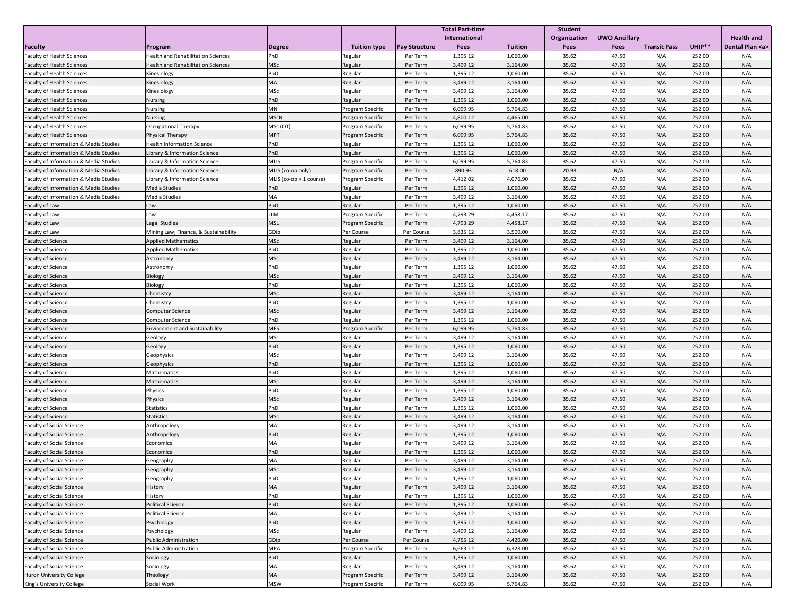|                                                   |                                           |                           |                         |                      | <b>Total Part-time</b> |                | Student      |                      |                     |        |                     |
|---------------------------------------------------|-------------------------------------------|---------------------------|-------------------------|----------------------|------------------------|----------------|--------------|----------------------|---------------------|--------|---------------------|
|                                                   |                                           |                           |                         |                      | International          |                | Organization | <b>UWO Ancillary</b> |                     |        | <b>Health and</b>   |
| Faculty                                           | Program                                   | <b>Degree</b>             | <b>Tuition type</b>     | <b>Pay Structure</b> | <b>Fees</b>            | <b>Tuition</b> | <b>Fees</b>  | <b>Fees</b>          | <b>Transit Pass</b> | UHIP** | Dental Plan <a></a> |
| <b>Faculty of Health Sciences</b>                 | <b>Health and Rehabilitation Sciences</b> | PhD                       | Regular                 | Per Term             | 1,395.12               | 1,060.00       | 35.62        | 47.50                | N/A                 | 252.00 | N/A                 |
| <b>Faculty of Health Sciences</b>                 | <b>Health and Rehabilitation Sciences</b> | MSc                       | Regular                 | Per Term             | 3,499.12               | 3,164.00       | 35.62        | 47.50                | N/A                 | 252.00 | N/A                 |
| <b>Faculty of Health Sciences</b>                 | Kinesiology                               | PhD                       | Regular                 | Per Term             | 1,395.12               | 1,060.00       | 35.62        | 47.50                | N/A                 | 252.00 | N/A                 |
| <b>Faculty of Health Sciences</b>                 | Kinesiology                               | <b>MA</b>                 | Regular                 | Per Term             | 3,499.12               | 3,164.00       | 35.62        | 47.50                | N/A                 | 252.00 | N/A                 |
| <b>Faculty of Health Sciences</b>                 | Kinesiology                               | <b>MSc</b>                | Regular                 | Per Term             | 3,499.12               | 3,164.00       | 35.62        | 47.50                | N/A                 | 252.00 | N/A                 |
| <b>Faculty of Health Sciences</b>                 | <b>Nursing</b>                            | PhD                       | Regular                 | Per Term             | 1,395.12               | 1,060.00       | 35.62        | 47.50                | N/A                 | 252.00 | N/A                 |
| <b>Faculty of Health Sciences</b>                 | <b>Nursing</b>                            | <b>MN</b>                 | <b>Program Specific</b> | Per Term             | 6,099.95               | 5,764.83       | 35.62        | 47.50                | N/A                 | 252.00 | N/A                 |
| <b>Faculty of Health Sciences</b>                 | <b>Nursing</b>                            | MScN                      | Program Specific        | Per Term             | 4,800.12               | 4,465.00       | 35.62        | 47.50                | N/A                 | 252.00 | N/A                 |
| <b>Faculty of Health Sciences</b>                 | Occupational Therapy                      | MSc (OT)                  | Program Specific        | Per Term             | 6,099.95               | 5,764.83       | 35.62        | 47.50                | N/A                 | 252.00 | N/A                 |
| <b>Faculty of Health Sciences</b>                 | Physical Therapy                          | MPT                       | Program Specific        | Per Term             | 6,099.95               | 5,764.83       | 35.62        | 47.50                | N/A                 | 252.00 | N/A                 |
| <b>Faculty of Information &amp; Media Studies</b> | <b>Health Information Science</b>         | PhD                       | Regular                 | Per Term             | 1,395.12               | 1,060.00       | 35.62        | 47.50                | N/A                 | 252.00 | N/A                 |
| <b>Faculty of Information &amp; Media Studies</b> | Library & Information Science             | PhD                       | Regular                 | Per Term             | 1,395.12               | 1,060.00       | 35.62        | 47.50                | N/A                 | 252.00 | N/A                 |
| <b>Faculty of Information &amp; Media Studies</b> | Library & Information Science             | <b>MLIS</b>               | Program Specific        | Per Term             | 6,099.95               | 5,764.83       | 35.62        | 47.50                | N/A                 | 252.00 | N/A                 |
| <b>Faculty of Information &amp; Media Studies</b> | Library & Information Science             | MLIS (co-op only)         | Program Specific        | Per Term             | 890.93                 | 618.00         | 20.93        | N/A                  | N/A                 | 252.00 | N/A                 |
| <b>Faculty of Information &amp; Media Studies</b> | Library & Information Science             | MLIS $(co-op + 1 course)$ | <b>Program Specific</b> | Per Term             | 4,412.02               | 4,076.90       | 35.62        | 47.50                | N/A                 | 252.00 | N/A                 |
| <b>Faculty of Information &amp; Media Studies</b> | Media Studies                             | PhD                       | Regular                 | Per Term             | 1,395.12               | 1,060.00       | 35.62        | 47.50                | N/A                 | 252.00 | N/A                 |
| <b>Faculty of Information &amp; Media Studies</b> | Media Studies                             | MA                        | Regular                 | Per Term             | 3,499.12               | 3,164.00       | 35.62        | 47.50                | N/A                 | 252.00 | N/A                 |
| <b>Faculty of Law</b>                             | Law                                       | PhD                       | Regular                 | Per Term             | 1,395.12               | 1,060.00       | 35.62        | 47.50                | N/A                 | 252.00 | N/A                 |
| <b>Faculty of Law</b>                             | Law                                       | LLM                       | Program Specific        | Per Term             | 4,793.29               | 4,458.17       | 35.62        | 47.50                | N/A                 | 252.00 | N/A                 |
| Faculty of Law                                    | Legal Studies                             | <b>MSL</b>                | Program Specific        | Per Term             | 4,793.29               | 4,458.17       | 35.62        | 47.50                | N/A                 | 252.00 | N/A                 |
| Faculty of Law                                    | Mining Law, Finance, & Sustainability     | GDip                      | Per Course              | Per Course           | 3,835.12               | 3,500.00       | 35.62        | 47.50                | N/A                 | 252.00 | N/A                 |
| <b>Faculty of Science</b>                         | <b>Applied Mathematics</b>                | <b>MSc</b>                | Regular                 | Per Term             | 3,499.12               | 3,164.00       | 35.62        | 47.50                | N/A                 | 252.00 | N/A                 |
| <b>Faculty of Science</b>                         | <b>Applied Mathematics</b>                | PhD                       | Regular                 | Per Term             | 1,395.12               | 1,060.00       | 35.62        | 47.50                | N/A                 | 252.00 | N/A                 |
| <b>Faculty of Science</b>                         | Astronomy                                 | <b>MSc</b>                | Regular                 | Per Term             | 3,499.12               | 3,164.00       | 35.62        | 47.50                | N/A                 | 252.00 | N/A                 |
| <b>Faculty of Science</b>                         | Astronomy                                 | PhD                       | Regular                 | Per Term             | 1,395.12               | 1,060.00       | 35.62        | 47.50                | N/A                 | 252.00 | N/A                 |
| <b>Faculty of Science</b>                         | Biology                                   | <b>MSc</b>                | Regular                 | Per Term             | 3,499.12               | 3,164.00       | 35.62        | 47.50                | N/A                 | 252.00 | N/A                 |
| <b>Faculty of Science</b>                         | Biology                                   | PhD                       | Regular                 | Per Term             | 1,395.12               | 1,060.00       | 35.62        | 47.50                | N/A                 | 252.00 | N/A                 |
| <b>Faculty of Science</b>                         | Chemistry                                 | <b>MSc</b>                | Regular                 | Per Term             | 3,499.12               | 3,164.00       | 35.62        | 47.50                | N/A                 | 252.00 | N/A                 |
| <b>Faculty of Science</b>                         | Chemistry                                 | PhD                       | Regular                 | Per Term             | 1,395.12               | 1,060.00       | 35.62        | 47.50                | N/A                 | 252.00 | N/A                 |
| <b>Faculty of Science</b>                         | <b>Computer Science</b>                   | MSc                       | Regular                 | Per Term             | 3,499.12               | 3,164.00       | 35.62        | 47.50                | N/A                 | 252.00 | N/A                 |
| <b>Faculty of Science</b>                         | <b>Computer Science</b>                   | PhD                       | Regular                 | Per Term             | 1,395.12               | 1,060.00       | 35.62        | 47.50                | N/A                 | 252.00 | N/A                 |
| <b>Faculty of Science</b>                         | <b>Environment and Sustainability</b>     | <b>MES</b>                | <b>Program Specific</b> | Per Term             | 6,099.95               | 5,764.83       | 35.62        | 47.50                | N/A                 | 252.00 | N/A                 |
| <b>Faculty of Science</b>                         | Geology                                   | <b>MSc</b>                | Regular                 | Per Term             | 3,499.12               | 3,164.00       | 35.62        | 47.50                | N/A                 | 252.00 | N/A                 |
| <b>Faculty of Science</b>                         | Geology                                   | PhD                       | Regular                 | Per Term             | 1,395.12               | 1,060.00       | 35.62        | 47.50                | N/A                 | 252.00 | N/A                 |
| <b>Faculty of Science</b>                         | Geophysics                                | <b>MSc</b>                | Regular                 | Per Term             | 3,499.12               | 3,164.00       | 35.62        | 47.50                | N/A                 | 252.00 | N/A                 |
| <b>Faculty of Science</b>                         | Geophysics                                | PhD                       | Regular                 | Per Term             | 1,395.12               | 1,060.00       | 35.62        | 47.50                | N/A                 | 252.00 | N/A                 |
| <b>Faculty of Science</b>                         | Mathematics                               | PhD                       | Regular                 | Per Term             | 1,395.12               | 1,060.00       | 35.62        | 47.50                | N/A                 | 252.00 | N/A                 |
| <b>Faculty of Science</b>                         | Mathematics                               | <b>MSc</b>                | Regular                 | Per Term             | 3,499.12               | 3,164.00       | 35.62        | 47.50                | N/A                 | 252.00 | N/A                 |
| <b>Faculty of Science</b>                         | Physics                                   | PhD                       | Regular                 | Per Term             | 1,395.12               | 1,060.00       | 35.62        | 47.50                | N/A                 | 252.00 | N/A                 |
| <b>Faculty of Science</b>                         | Physics                                   | <b>MSc</b>                | Regular                 | Per Term             | 3,499.12               | 3,164.00       | 35.62        | 47.50                | N/A                 | 252.00 | N/A                 |
| <b>Faculty of Science</b>                         | Statistics                                | PhD                       | Regular                 | Per Term             | 1,395.12               | 1,060.00       | 35.62        | 47.50                | N/A                 | 252.00 | N/A                 |
| <b>Faculty of Science</b>                         | Statistics                                | MSc                       | Regular                 | Per Term             | 3,499.12               | 3,164.00       | 35.62        | 47.50                | N/A                 | 252.00 | N/A                 |
| <b>Faculty of Social Science</b>                  | Anthropology                              | МA                        | Regular                 | Per Term             | 3,499.12               | 3,164.00       | 35.62        | 47.50                | N/A                 | 252.00 | N/A                 |
| <b>Faculty of Social Science</b>                  | Anthropology                              | PhD                       | Regular                 | Per Term             | 1,395.12               | 1,060.00       | 35.62        | 47.50                | N/A                 | 252.00 | N/A                 |
| <b>Faculty of Social Science</b>                  | Economics                                 | MA                        | Regular                 | Per Term             | 3,499.12               | 3,164.00       | 35.62        | 47.50                | N/A                 | 252.00 | N/A                 |
| <b>Faculty of Social Science</b>                  | Economics                                 | PhD                       | Regular                 | Per Term             | 1,395.12               | 1,060.00       | 35.62        | 47.50                | N/A                 | 252.00 | N/A                 |
| <b>Faculty of Social Science</b>                  | Geography                                 | МA                        | Regular                 | Per Term             | 3,499.12               | 3,164.00       | 35.62        | 47.50                | N/A                 | 252.00 | N/A                 |
| <b>Faculty of Social Science</b>                  | Geography                                 | <b>MSc</b>                | Regular                 | Per Term             | 3,499.12               | 3,164.00       | 35.62        | 47.50                | N/A                 | 252.00 | N/A                 |
| <b>Faculty of Social Science</b>                  | Geography                                 | PhD                       | Regular                 | Per Term             | 1,395.12               | 1,060.00       | 35.62        | 47.50                | N/A                 | 252.00 | N/A                 |
| <b>Faculty of Social Science</b>                  | History                                   | <b>MA</b>                 | Regular                 | Per Term             | 3,499.12               | 3,164.00       | 35.62        | 47.50                | N/A                 | 252.00 | N/A                 |
| <b>Faculty of Social Science</b>                  | History                                   | PhD                       | Regular                 | Per Term             | 1,395.12               | 1,060.00       | 35.62        | 47.50                | N/A                 | 252.00 | N/A                 |
| <b>Faculty of Social Science</b>                  | <b>Political Science</b>                  | PhD                       | Regular                 | Per Term             | 1,395.12               | 1,060.00       | 35.62        | 47.50                | N/A                 | 252.00 | N/A                 |
| <b>Faculty of Social Science</b>                  | <b>Political Science</b>                  | MA                        | Regular                 | Per Term             | 3,499.12               | 3,164.00       | 35.62        | 47.50                | N/A                 | 252.00 | N/A                 |
| <b>Faculty of Social Science</b>                  | Psychology                                | PhD                       | Regular                 | Per Term             | 1,395.12               | 1,060.00       | 35.62        | 47.50                | N/A                 | 252.00 | N/A                 |
| <b>Faculty of Social Science</b>                  | Psychology                                | <b>MSc</b>                | Regular                 | Per Term             | 3,499.12               | 3,164.00       | 35.62        | 47.50                | N/A                 | 252.00 | N/A                 |
| <b>Faculty of Social Science</b>                  | <b>Public Administration</b>              | GDip                      | Per Course              | Per Course           | 4,755.12               | 4,420.00       | 35.62        | 47.50                | N/A                 | 252.00 | N/A                 |
| <b>Faculty of Social Science</b>                  | <b>Public Administration</b>              | <b>MPA</b>                | <b>Program Specific</b> | Per Term             | 6,663.12               | 6,328.00       | 35.62        | 47.50                | N/A                 | 252.00 | N/A                 |
| <b>Faculty of Social Science</b>                  | Sociology                                 | PhD                       | Regular                 | Per Term             | 1,395.12               | 1,060.00       | 35.62        | 47.50                | N/A                 | 252.00 | N/A                 |
| <b>Faculty of Social Science</b>                  | Sociology                                 | МA                        | Regular                 | Per Term             | 3,499.12               | 3,164.00       | 35.62        | 47.50                | N/A                 | 252.00 | N/A                 |
| Huron University College                          | Theology                                  | MA                        | Program Specific        | Per Term             | 3,499.12               | 3,164.00       | 35.62        | 47.50                | N/A                 | 252.00 | N/A                 |
| King's University College                         | Social Work                               | <b>MSW</b>                | <b>Program Specific</b> | Per Term             | 6,099.95               | 5,764.83       | 35.62        | 47.50                | N/A                 | 252.00 | N/A                 |